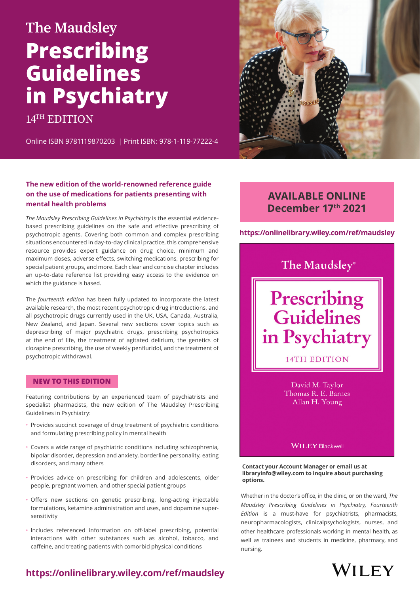# **The Maudsley Prescribing Guidelines in Psychiatry**

14<sup>TH</sup> EDITION

Online ISBN 9781119870203 | Print ISBN: 978-1-119-77222-4

#### **The new edition of the world-renowned reference guide on the use of medications for patients presenting with mental health problems**

*The Maudsley Prescribing Guidelines in Psychiatry* is the essential evidencebased prescribing guidelines on the safe and effective prescribing of psychotropic agents. Covering both common and complex prescribing situations encountered in day-to-day clinical practice, this comprehensive resource provides expert guidance on drug choice, minimum and maximum doses, adverse effects, switching medications, prescribing for special patient groups, and more. Each clear and concise chapter includes an up-to-date reference list providing easy access to the evidence on which the guidance is based.

The *fourteenth edition* has been fully updated to incorporate the latest available research, the most recent psychotropic drug introductions, and all psychotropic drugs currently used in the UK, USA, Canada, Australia, New Zealand, and Japan. Several new sections cover topics such as deprescribing of major psychiatric drugs, prescribing psychotropics at the end of life, the treatment of agitated delirium, the genetics of clozapine prescribing, the use of weekly penfluridol, and the treatment of psychotropic withdrawal.

#### **NEW TO THIS EDITION**

Featuring contributions by an experienced team of psychiatrists and specialist pharmacists, the new edition of The Maudsley Prescribing Guidelines in Psychiatry:

- Provides succinct coverage of drug treatment of psychiatric conditions and formulating prescribing policy in mental health
- Covers a wide range of psychiatric conditions including schizophrenia, bipolar disorder, depression and anxiety, borderline personality, eating disorders, and many others
- Provides advice on prescribing for children and adolescents, older people, pregnant women, and other special patient groups
- Offers new sections on genetic prescribing, long-acting injectable formulations, ketamine administration and uses, and dopamine supersensitivity
- Includes referenced information on off-label prescribing, potential interactions with other substances such as alcohol, tobacco, and caffeine, and treating patients with comorbid physical conditions



## **AVAILABLE ONLINE December 17th 2021**

**https://onlinelibrary.wiley.com/ref/maudsley**

## The Maudsley®

# Prescribing Guidelines in Psychiatry

14TH EDITION

David M. Taylor Thomas R. E. Barnes Allan H. Young

**WILEY Blackwell** 

**Contact your Account Manager or email us at libraryinfo@wiley.com to inquire about purchasing options.**

Whether in the doctor's office, in the clinic, or on the ward, *The Maudsley Prescribing Guidelines in Psychiatry, Fourteenth Edition* is a must-have for psychiatrists, pharmacists, neuropharmacologists, clinicalpsychologists, nurses, and other healthcare professionals working in mental health, as well as trainees and students in medicine, pharmacy, and nursing.



### **<https://onlinelibrary.wiley.com/ref/maudsley>**